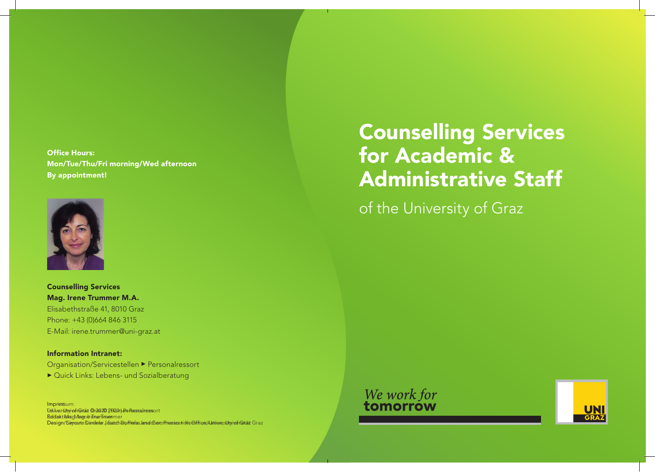Office Hours: Mon/Tue/Thu/Fri morning/Wed afternoon By appointment!



Counselling Services Mag. Irene Trummer M.A. Elisabethstraße 41, 8010 Graz Phone: +43 (0)664 846 3115 E-Mail: irene.trummer@uni-graz.at

Information Intranet: Organisation/Servicestellen ▶ Personalressort ▶ Quick Links: Lebens- und Sozialberatung

Impressum: f.d.I.v.: Universität Graz © 2020 | Personalressort University of Graz © 2020 | Human Resources ReldtooktiMaag/Marendre Trummer mer Design/Sayoutte Dandelar Jesatzh Da PirelasJansdoChem Pressea tid vo Orffice i klanio er slutyi of rGirtät Graz

# Counselling Services for Academic & Administrative Staff

of the University of Graz